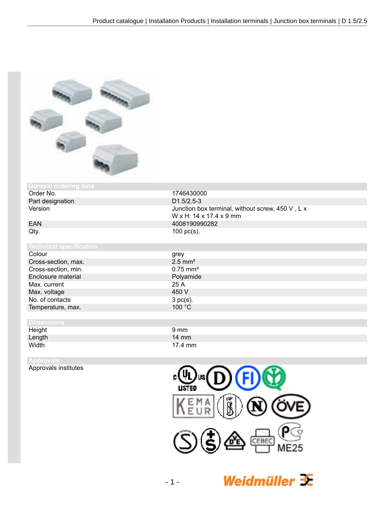

# General ordering data<br>Order No.

Part designation<br>Version

Colour Cross-section, max. Cross-section, min. Enclosure material Max. current Max. voltage No. of contacts Temperature, max.

## **Dimensions**

Height 9 mm<br>
Lenath 14 mm<br>
14 mm Length<br>Width

Approvals institutes



| grey                   |
|------------------------|
| $2.5$ mm <sup>2</sup>  |
| $0.75$ mm <sup>2</sup> |
| Polyamide              |
| 25A                    |
| 450 V                  |
| 3 pc(s).               |
| 100 °C                 |
|                        |





Weidmüller  $\mathcal{\mathcal{F}}$